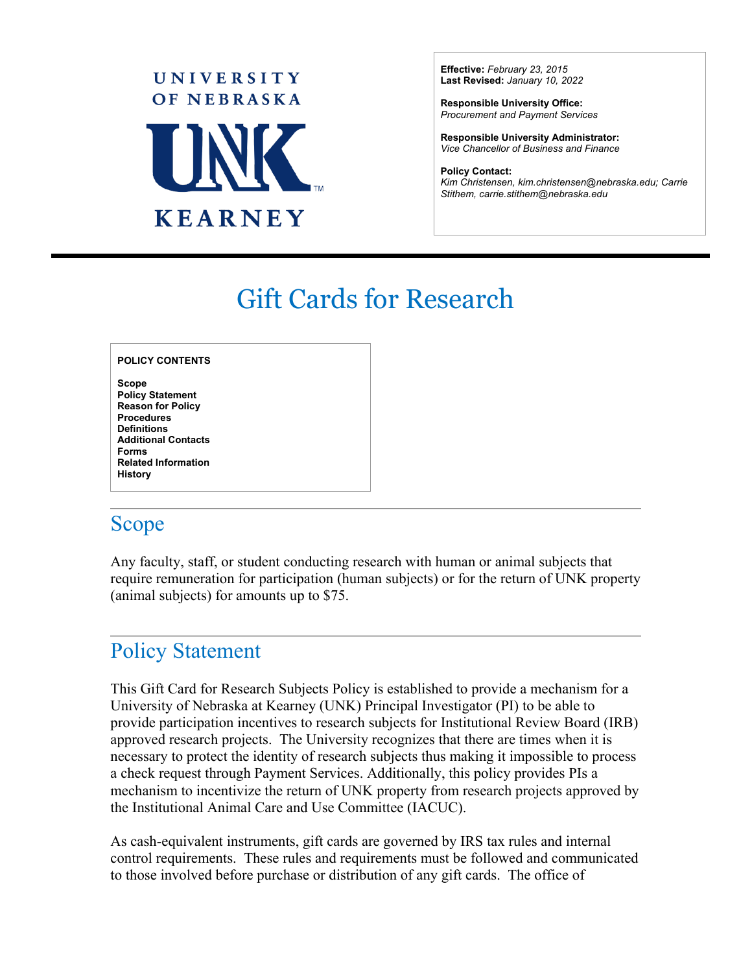

**Effective:** *February 23, 2015* **Last Revised:** *January 10, 2022*

**Responsible University Office:** *Procurement and Payment Services* 

**Responsible University Administrator:**  *Vice Chancellor of Business and Finance*

**Policy Contact:** *Kim Christensen, kim.christensen@nebraska.edu; Carrie Stithem, carrie.stithem@nebraska.edu* 

# Gift Cards for Research

#### **POLICY CONTENTS**

**Scope Policy Statement Reason for Policy Procedures Definitions Additional Contacts Forms Related Information History** 

### Scope

 $\overline{a}$ 

 $\overline{a}$ 

Any faculty, staff, or student conducting research with human or animal subjects that require remuneration for participation (human subjects) or for the return of UNK property (animal subjects) for amounts up to \$75.

### Policy Statement

This Gift Card for Research Subjects Policy is established to provide a mechanism for a University of Nebraska at Kearney (UNK) Principal Investigator (PI) to be able to provide participation incentives to research subjects for Institutional Review Board (IRB) approved research projects. The University recognizes that there are times when it is necessary to protect the identity of research subjects thus making it impossible to process a check request through Payment Services. Additionally, this policy provides PIs a mechanism to incentivize the return of UNK property from research projects approved by the Institutional Animal Care and Use Committee (IACUC).

As cash-equivalent instruments, gift cards are governed by IRS tax rules and internal control requirements. These rules and requirements must be followed and communicated to those involved before purchase or distribution of any gift cards. The office of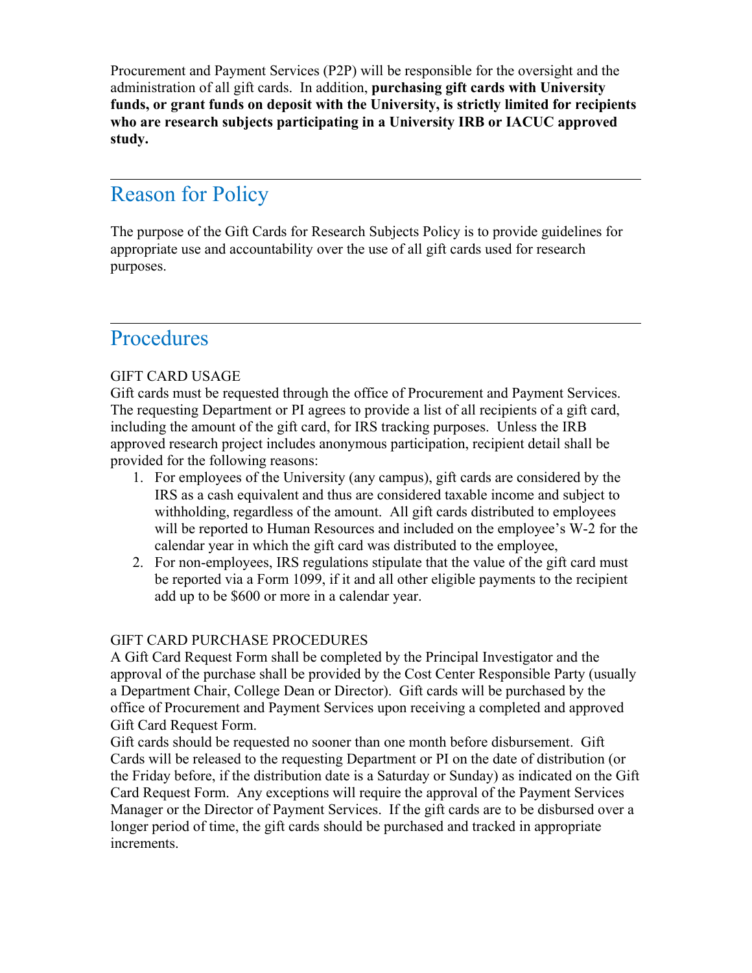Procurement and Payment Services (P2P) will be responsible for the oversight and the administration of all gift cards. In addition, **purchasing gift cards with University funds, or grant funds on deposit with the University, is strictly limited for recipients who are research subjects participating in a University IRB or IACUC approved study.**

# Reason for Policy

The purpose of the Gift Cards for Research Subjects Policy is to provide guidelines for appropriate use and accountability over the use of all gift cards used for research purposes.

### Procedures

 $\overline{a}$ 

 $\overline{a}$ 

#### GIFT CARD USAGE

Gift cards must be requested through the office of Procurement and Payment Services. The requesting Department or PI agrees to provide a list of all recipients of a gift card, including the amount of the gift card, for IRS tracking purposes. Unless the IRB approved research project includes anonymous participation, recipient detail shall be provided for the following reasons:

- 1. For employees of the University (any campus), gift cards are considered by the IRS as a cash equivalent and thus are considered taxable income and subject to withholding, regardless of the amount. All gift cards distributed to employees will be reported to Human Resources and included on the employee's W-2 for the calendar year in which the gift card was distributed to the employee,
- 2. For non-employees, IRS regulations stipulate that the value of the gift card must be reported via a Form 1099, if it and all other eligible payments to the recipient add up to be \$600 or more in a calendar year.

#### GIFT CARD PURCHASE PROCEDURES

A Gift Card Request Form shall be completed by the Principal Investigator and the approval of the purchase shall be provided by the Cost Center Responsible Party (usually a Department Chair, College Dean or Director). Gift cards will be purchased by the office of Procurement and Payment Services upon receiving a completed and approved Gift Card Request Form.

Gift cards should be requested no sooner than one month before disbursement. Gift Cards will be released to the requesting Department or PI on the date of distribution (or the Friday before, if the distribution date is a Saturday or Sunday) as indicated on the Gift Card Request Form. Any exceptions will require the approval of the Payment Services Manager or the Director of Payment Services. If the gift cards are to be disbursed over a longer period of time, the gift cards should be purchased and tracked in appropriate increments.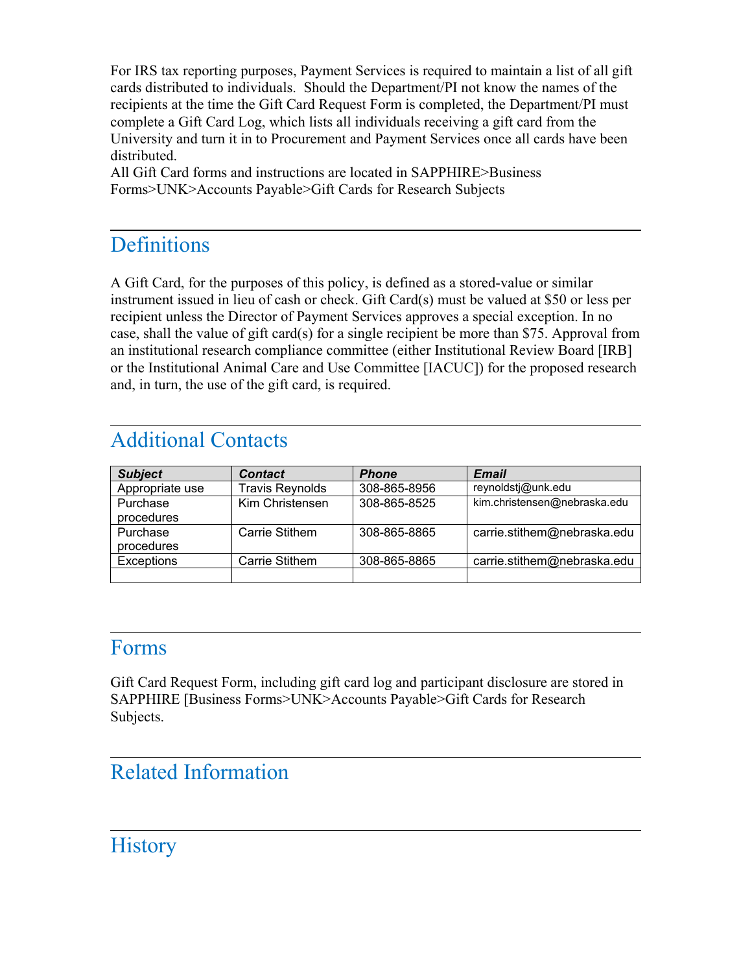For IRS tax reporting purposes, Payment Services is required to maintain a list of all gift cards distributed to individuals. Should the Department/PI not know the names of the recipients at the time the Gift Card Request Form is completed, the Department/PI must complete a Gift Card Log, which lists all individuals receiving a gift card from the University and turn it in to Procurement and Payment Services once all cards have been distributed.

All Gift Card forms and instructions are located in SAPPHIRE>Business Forms>UNK>Accounts Payable>Gift Cards for Research Subjects

### **Definitions**

 $\overline{a}$ 

 $\overline{a}$ 

A Gift Card, for the purposes of this policy, is defined as a stored-value or similar instrument issued in lieu of cash or check. Gift Card(s) must be valued at \$50 or less per recipient unless the Director of Payment Services approves a special exception. In no case, shall the value of gift card(s) for a single recipient be more than \$75. Approval from an institutional research compliance committee (either Institutional Review Board [IRB] or the Institutional Animal Care and Use Committee [IACUC]) for the proposed research and, in turn, the use of the gift card, is required.

# Additional Contacts

| <b>Subject</b>         | <b>Contact</b>         | <b>Phone</b> | <b>Email</b>                 |
|------------------------|------------------------|--------------|------------------------------|
| Appropriate use        | <b>Travis Reynolds</b> | 308-865-8956 | reynoldsti@unk.edu           |
| Purchase<br>procedures | Kim Christensen        | 308-865-8525 | kim.christensen@nebraska.edu |
| Purchase<br>procedures | Carrie Stithem         | 308-865-8865 | carrie.stithem@nebraska.edu  |
| <b>Exceptions</b>      | Carrie Stithem         | 308-865-8865 | carrie.stithem@nebraska.edu  |
|                        |                        |              |                              |

### Forms

 $\overline{a}$ 

 $\overline{a}$ 

 $\overline{a}$ 

Gift Card Request Form, including gift card log and participant disclosure are stored in SAPPHIRE [Business Forms>UNK>Accounts Payable>Gift Cards for Research Subjects.

### Related Information

### **History**